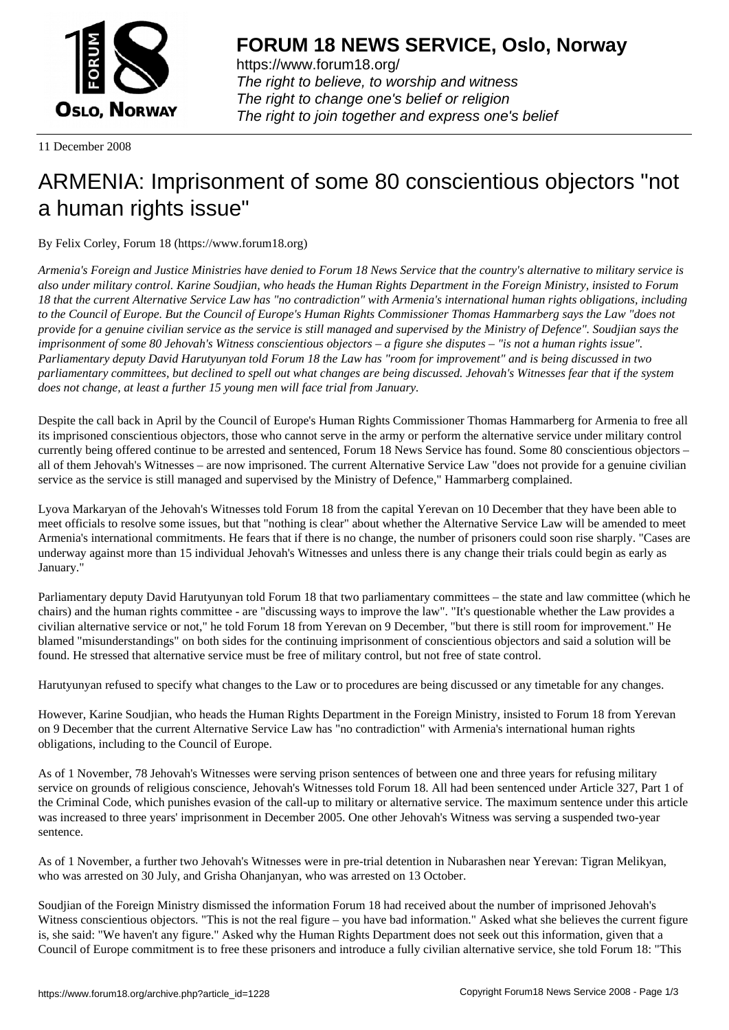

https://www.forum18.org/ The right to believe, to worship and witness The right to change one's belief or religion [The right to join together a](https://www.forum18.org/)nd express one's belief

11 December 2008

## [ARMENIA: Imp](https://www.forum18.org)risonment of some 80 conscientious objectors "not a human rights issue"

By Felix Corley, Forum 18 (https://www.forum18.org)

*Armenia's Foreign and Justice Ministries have denied to Forum 18 News Service that the country's alternative to military service is also under military control. Karine Soudjian, who heads the Human Rights Department in the Foreign Ministry, insisted to Forum 18 that the current Alternative Service Law has "no contradiction" with Armenia's international human rights obligations, including to the Council of Europe. But the Council of Europe's Human Rights Commissioner Thomas Hammarberg says the Law "does not provide for a genuine civilian service as the service is still managed and supervised by the Ministry of Defence". Soudjian says the imprisonment of some 80 Jehovah's Witness conscientious objectors – a figure she disputes – "is not a human rights issue". Parliamentary deputy David Harutyunyan told Forum 18 the Law has "room for improvement" and is being discussed in two parliamentary committees, but declined to spell out what changes are being discussed. Jehovah's Witnesses fear that if the system does not change, at least a further 15 young men will face trial from January.*

Despite the call back in April by the Council of Europe's Human Rights Commissioner Thomas Hammarberg for Armenia to free all its imprisoned conscientious objectors, those who cannot serve in the army or perform the alternative service under military control currently being offered continue to be arrested and sentenced, Forum 18 News Service has found. Some 80 conscientious objectors – all of them Jehovah's Witnesses – are now imprisoned. The current Alternative Service Law "does not provide for a genuine civilian service as the service is still managed and supervised by the Ministry of Defence," Hammarberg complained.

Lyova Markaryan of the Jehovah's Witnesses told Forum 18 from the capital Yerevan on 10 December that they have been able to meet officials to resolve some issues, but that "nothing is clear" about whether the Alternative Service Law will be amended to meet Armenia's international commitments. He fears that if there is no change, the number of prisoners could soon rise sharply. "Cases are underway against more than 15 individual Jehovah's Witnesses and unless there is any change their trials could begin as early as January."

Parliamentary deputy David Harutyunyan told Forum 18 that two parliamentary committees – the state and law committee (which he chairs) and the human rights committee - are "discussing ways to improve the law". "It's questionable whether the Law provides a civilian alternative service or not," he told Forum 18 from Yerevan on 9 December, "but there is still room for improvement." He blamed "misunderstandings" on both sides for the continuing imprisonment of conscientious objectors and said a solution will be found. He stressed that alternative service must be free of military control, but not free of state control.

Harutyunyan refused to specify what changes to the Law or to procedures are being discussed or any timetable for any changes.

However, Karine Soudjian, who heads the Human Rights Department in the Foreign Ministry, insisted to Forum 18 from Yerevan on 9 December that the current Alternative Service Law has "no contradiction" with Armenia's international human rights obligations, including to the Council of Europe.

As of 1 November, 78 Jehovah's Witnesses were serving prison sentences of between one and three years for refusing military service on grounds of religious conscience, Jehovah's Witnesses told Forum 18. All had been sentenced under Article 327, Part 1 of the Criminal Code, which punishes evasion of the call-up to military or alternative service. The maximum sentence under this article was increased to three years' imprisonment in December 2005. One other Jehovah's Witness was serving a suspended two-year sentence.

As of 1 November, a further two Jehovah's Witnesses were in pre-trial detention in Nubarashen near Yerevan: Tigran Melikyan, who was arrested on 30 July, and Grisha Ohanjanyan, who was arrested on 13 October.

Soudjian of the Foreign Ministry dismissed the information Forum 18 had received about the number of imprisoned Jehovah's Witness conscientious objectors. "This is not the real figure – you have bad information." Asked what she believes the current figure is, she said: "We haven't any figure." Asked why the Human Rights Department does not seek out this information, given that a Council of Europe commitment is to free these prisoners and introduce a fully civilian alternative service, she told Forum 18: "This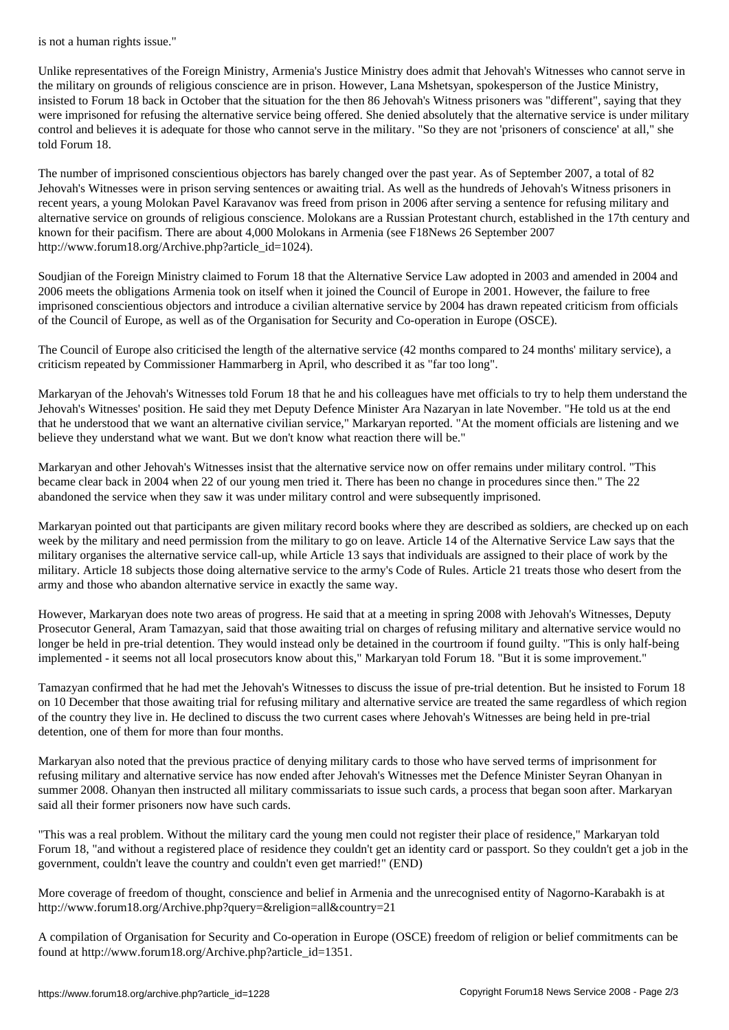Unlike representatives of the Foreign Ministry, Armenia's Justice Ministry does admit that Jehovah's Witnesses who cannot serve in the military on grounds of religious conscience are in prison. However, Lana Mshetsyan, spokesperson of the Justice Ministry, insisted to Forum 18 back in October that the situation for the then 86 Jehovah's Witness prisoners was "different", saying that they were imprisoned for refusing the alternative service being offered. She denied absolutely that the alternative service is under military control and believes it is adequate for those who cannot serve in the military. "So they are not 'prisoners of conscience' at all," she told Forum 18.

The number of imprisoned conscientious objectors has barely changed over the past year. As of September 2007, a total of 82 Jehovah's Witnesses were in prison serving sentences or awaiting trial. As well as the hundreds of Jehovah's Witness prisoners in recent years, a young Molokan Pavel Karavanov was freed from prison in 2006 after serving a sentence for refusing military and alternative service on grounds of religious conscience. Molokans are a Russian Protestant church, established in the 17th century and known for their pacifism. There are about 4,000 Molokans in Armenia (see F18News 26 September 2007 http://www.forum18.org/Archive.php?article\_id=1024).

Soudjian of the Foreign Ministry claimed to Forum 18 that the Alternative Service Law adopted in 2003 and amended in 2004 and 2006 meets the obligations Armenia took on itself when it joined the Council of Europe in 2001. However, the failure to free imprisoned conscientious objectors and introduce a civilian alternative service by 2004 has drawn repeated criticism from officials of the Council of Europe, as well as of the Organisation for Security and Co-operation in Europe (OSCE).

The Council of Europe also criticised the length of the alternative service (42 months compared to 24 months' military service), a criticism repeated by Commissioner Hammarberg in April, who described it as "far too long".

Markaryan of the Jehovah's Witnesses told Forum 18 that he and his colleagues have met officials to try to help them understand the Jehovah's Witnesses' position. He said they met Deputy Defence Minister Ara Nazaryan in late November. "He told us at the end that he understood that we want an alternative civilian service," Markaryan reported. "At the moment officials are listening and we believe they understand what we want. But we don't know what reaction there will be."

Markaryan and other Jehovah's Witnesses insist that the alternative service now on offer remains under military control. "This became clear back in 2004 when 22 of our young men tried it. There has been no change in procedures since then." The 22 abandoned the service when they saw it was under military control and were subsequently imprisoned.

Markaryan pointed out that participants are given military record books where they are described as soldiers, are checked up on each week by the military and need permission from the military to go on leave. Article 14 of the Alternative Service Law says that the military organises the alternative service call-up, while Article 13 says that individuals are assigned to their place of work by the military. Article 18 subjects those doing alternative service to the army's Code of Rules. Article 21 treats those who desert from the army and those who abandon alternative service in exactly the same way.

However, Markaryan does note two areas of progress. He said that at a meeting in spring 2008 with Jehovah's Witnesses, Deputy Prosecutor General, Aram Tamazyan, said that those awaiting trial on charges of refusing military and alternative service would no longer be held in pre-trial detention. They would instead only be detained in the courtroom if found guilty. "This is only half-being implemented - it seems not all local prosecutors know about this," Markaryan told Forum 18. "But it is some improvement."

Tamazyan confirmed that he had met the Jehovah's Witnesses to discuss the issue of pre-trial detention. But he insisted to Forum 18 on 10 December that those awaiting trial for refusing military and alternative service are treated the same regardless of which region of the country they live in. He declined to discuss the two current cases where Jehovah's Witnesses are being held in pre-trial detention, one of them for more than four months.

Markaryan also noted that the previous practice of denying military cards to those who have served terms of imprisonment for refusing military and alternative service has now ended after Jehovah's Witnesses met the Defence Minister Seyran Ohanyan in summer 2008. Ohanyan then instructed all military commissariats to issue such cards, a process that began soon after. Markaryan said all their former prisoners now have such cards.

"This was a real problem. Without the military card the young men could not register their place of residence," Markaryan told Forum 18, "and without a registered place of residence they couldn't get an identity card or passport. So they couldn't get a job in the government, couldn't leave the country and couldn't even get married!" (END)

More coverage of freedom of thought, conscience and belief in Armenia and the unrecognised entity of Nagorno-Karabakh is at http://www.forum18.org/Archive.php?query=&religion=all&country=21

A compilation of Organisation for Security and Co-operation in Europe (OSCE) freedom of religion or belief commitments can be found at http://www.forum18.org/Archive.php?article\_id=1351.